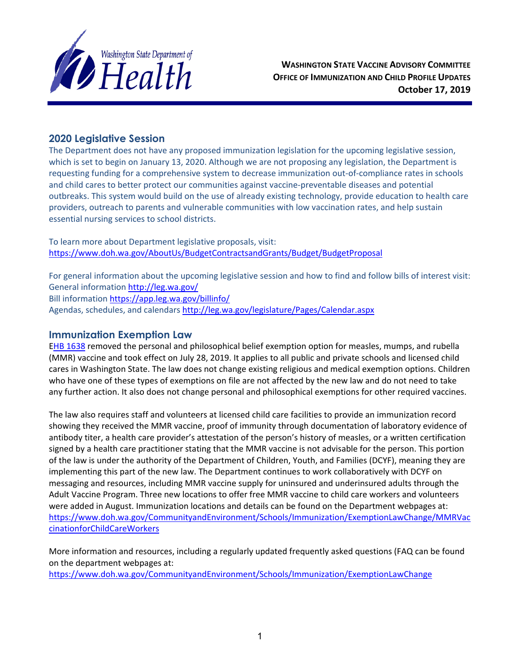

**WASHINGTON STATE VACCINE ADVISORY COMMITTEE OFFICE OF IMMUNIZATION AND CHILD PROFILE UPDATES October 17, 2019**

## **2020 Legislative Session**

The Department does not have any proposed immunization legislation for the upcoming legislative session, which is set to begin on January 13, 2020. Although we are not proposing any legislation, the Department is requesting funding for a comprehensive system to decrease immunization out-of-compliance rates in schools and child cares to better protect our communities against vaccine-preventable diseases and potential outbreaks. This system would build on the use of already existing technology, provide education to health care providers, outreach to parents and vulnerable communities with low vaccination rates, and help sustain essential nursing services to school districts.

To learn more about Department legislative proposals, visit: <https://www.doh.wa.gov/AboutUs/BudgetContractsandGrants/Budget/BudgetProposal>

For general information about the upcoming legislative session and how to find and follow bills of interest visit: General information<http://leg.wa.gov/>

Bill information<https://app.leg.wa.gov/billinfo/>

Agendas, schedules, and calendars<http://leg.wa.gov/legislature/Pages/Calendar.aspx>

### **Immunization Exemption Law**

[EHB 1638](http://lawfilesext.leg.wa.gov/biennium/2019-20/Pdf/Amendments/Senate/1638.E%20AMS%20HLTC%20S3367.1.pdf) removed the personal and philosophical belief exemption option for measles, mumps, and rubella (MMR) vaccine and took effect on July 28, 2019. It applies to all public and private schools and licensed child cares in Washington State. The law does not change existing religious and medical exemption options. Children who have one of these types of exemptions on file are not affected by the new law and do not need to take any further action. It also does not change personal and philosophical exemptions for other required vaccines.

The law also requires staff and volunteers at licensed child care facilities to provide an immunization record showing they received the MMR vaccine, proof of immunity through documentation of laboratory evidence of antibody titer, a health care provider's attestation of the person's history of measles, or a written certification signed by a health care practitioner stating that the MMR vaccine is not advisable for the person. This portion of the law is under the authority of the Department of Children, Youth, and Families (DCYF), meaning they are implementing this part of the new law. The Department continues to work collaboratively with DCYF on messaging and resources, including MMR vaccine supply for uninsured and underinsured adults through the Adult Vaccine Program. Three new locations to offer free MMR vaccine to child care workers and volunteers were added in August. Immunization locations and details can be found on the Department webpages at: [https://www.doh.wa.gov/CommunityandEnvironment/Schools/Immunization/ExemptionLawChange/MMRVac](https://www.doh.wa.gov/CommunityandEnvironment/Schools/Immunization/ExemptionLawChange/MMRVaccinationforChildCareWorkers) [cinationforChildCareWorkers](https://www.doh.wa.gov/CommunityandEnvironment/Schools/Immunization/ExemptionLawChange/MMRVaccinationforChildCareWorkers)

More information and resources, including a regularly updated frequently asked questions (FAQ can be found on the department webpages at:

<https://www.doh.wa.gov/CommunityandEnvironment/Schools/Immunization/ExemptionLawChange>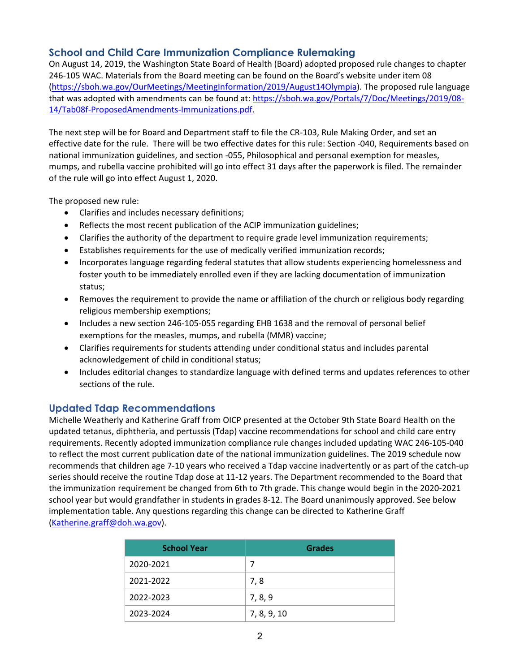# **School and Child Care Immunization Compliance Rulemaking**

On August 14, 2019, the Washington State Board of Health (Board) adopted proposed rule changes to chapter 246-105 WAC. Materials from the Board meeting can be found on the Board's website under item 08 [\(https://sboh.wa.gov/OurMeetings/MeetingInformation/2019/August14Olympia\)](https://sboh.wa.gov/OurMeetings/MeetingInformation/2019/August14Olympia). The proposed rule language that was adopted with amendments can be found at[: https://sboh.wa.gov/Portals/7/Doc/Meetings/2019/08-](https://sboh.wa.gov/Portals/7/Doc/Meetings/2019/08-14/Tab08f-ProposedAmendments-Immunizations.pdf) [14/Tab08f-ProposedAmendments-Immunizations.pdf.](https://sboh.wa.gov/Portals/7/Doc/Meetings/2019/08-14/Tab08f-ProposedAmendments-Immunizations.pdf)

The next step will be for Board and Department staff to file the CR-103, Rule Making Order, and set an effective date for the rule. There will be two effective dates for this rule: Section -040, Requirements based on national immunization guidelines, and section -055, Philosophical and personal exemption for measles, mumps, and rubella vaccine prohibited will go into effect 31 days after the paperwork is filed. The remainder of the rule will go into effect August 1, 2020.

The proposed new rule:

- Clarifies and includes necessary definitions;
- Reflects the most recent publication of the ACIP immunization guidelines;
- Clarifies the authority of the department to require grade level immunization requirements;
- Establishes requirements for the use of medically verified immunization records;
- Incorporates language regarding federal statutes that allow students experiencing homelessness and foster youth to be immediately enrolled even if they are lacking documentation of immunization status;
- Removes the requirement to provide the name or affiliation of the church or religious body regarding religious membership exemptions;
- Includes a new section 246-105-055 regarding EHB 1638 and the removal of personal belief exemptions for the measles, mumps, and rubella (MMR) vaccine;
- Clarifies requirements for students attending under conditional status and includes parental acknowledgement of child in conditional status;
- Includes editorial changes to standardize language with defined terms and updates references to other sections of the rule.

# **Updated Tdap Recommendations**

Michelle Weatherly and Katherine Graff from OICP presented at the October 9th State Board Health on the updated tetanus, diphtheria, and pertussis (Tdap) vaccine recommendations for school and child care entry requirements. Recently adopted immunization compliance rule changes included updating WAC 246-105-040 to reflect the most current publication date of the national immunization guidelines. The 2019 schedule now recommends that children age 7-10 years who received a Tdap vaccine inadvertently or as part of the catch-up series should receive the routine Tdap dose at 11-12 years. The Department recommended to the Board that the immunization requirement be changed from 6th to 7th grade. This change would begin in the 2020-2021 school year but would grandfather in students in grades 8-12. The Board unanimously approved. See below implementation table. Any questions regarding this change can be directed to Katherine Graff [\(Katherine.graff@doh.wa.gov\)](mailto:Katherine.graff@doh.wa.gov).

| <b>School Year</b> | <b>Grades</b> |
|--------------------|---------------|
| 2020-2021          |               |
| 2021-2022          | 7,8           |
| 2022-2023          | 7, 8, 9       |
| 2023-2024          | 7, 8, 9, 10   |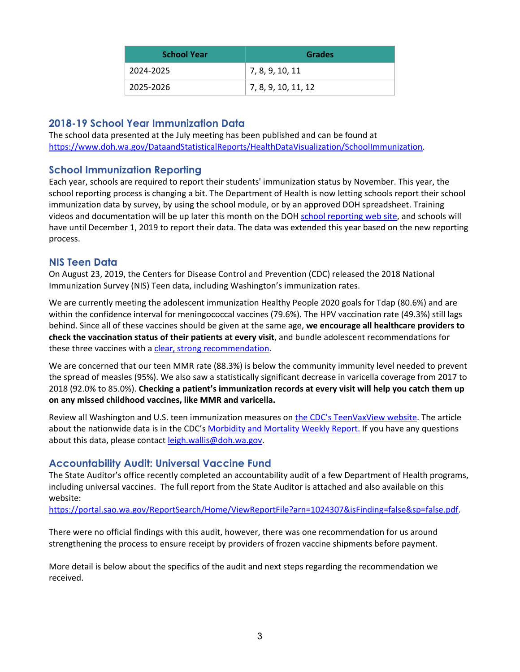| <b>School Year</b> | <b>Grades</b>       |
|--------------------|---------------------|
| 2024-2025          | 7, 8, 9, 10, 11     |
| 2025-2026          | 7, 8, 9, 10, 11, 12 |

# **2018-19 School Year Immunization Data**

The school data presented at the July meeting has been published and can be found at [https://www.doh.wa.gov/DataandStatisticalReports/HealthDataVisualization/SchoolImmunization.](https://www.doh.wa.gov/DataandStatisticalReports/HealthDataVisualization/SchoolImmunization)

# **School Immunization Reporting**

Each year, schools are required to report their students' immunization status by November. This year, the school reporting process is changing a bit. The Department of Health is now letting schools report their school immunization data by survey, by using the school module, or by an approved DOH spreadsheet. Training videos and documentation will be up later this month on the DOH [school reporting web site,](https://www.doh.wa.gov/CommunityandEnvironment/Schools/Immunization/SchoolStatusReporting) and schools will have until December 1, 2019 to report their data. The data was extended this year based on the new reporting process.

# **NIS Teen Data**

On August 23, 2019, the Centers for Disease Control and Prevention (CDC) released the 2018 National Immunization Survey (NIS) Teen data, including Washington's immunization rates.

We are currently meeting the adolescent immunization Healthy People 2020 goals for Tdap (80.6%) and are within the confidence interval for meningococcal vaccines (79.6%). The HPV vaccination rate (49.3%) still lags behind. Since all of these vaccines should be given at the same age, **we encourage all healthcare providers to check the vaccination status of their patients at every visit**, and bundle adolescent recommendations for these three vaccines with [a clear, strong recommendation.](https://immunitycommunitywa.org/conversation-guide/)

We are concerned that our teen MMR rate (88.3%) is below the community immunity level needed to prevent the spread of measles (95%). We also saw a statistically significant decrease in varicella coverage from 2017 to 2018 (92.0% to 85.0%). **Checking a patient's immunization records at every visit will help you catch them up on any missed childhood vaccines, like MMR and varicella.**

Review all Washington and U.S. teen immunization measures o[n the CDC's TeenVaxView website.](https://www.cdc.gov/vaccines/imz-managers/coverage/teenvaxview/data-reports/index.html) The article about the nationwide data is in the CDC's [Morbidity and Mortality Weekly Report.](https://www.cdc.gov/mmwr/volumes/68/wr/mm6833a2.htm) If you have any questions about this data, please contac[t leigh.wallis@doh.wa.gov.](mailto:leigh.wallis@doh.wa.gov)

# **Accountability Audit: Universal Vaccine Fund**

The State Auditor's office recently completed an accountability audit of a few Department of Health programs, including universal vaccines. The full report from the State Auditor is attached and also available on this website:

[https://portal.sao.wa.gov/ReportSearch/Home/ViewReportFile?arn=1024307&isFinding=false&sp=false.pdf.](https://portal.sao.wa.gov/ReportSearch/Home/ViewReportFile?arn=1024307&isFinding=false&sp=false.pdf)

There were no official findings with this audit, however, there was one recommendation for us around strengthening the process to ensure receipt by providers of frozen vaccine shipments before payment.

More detail is below about the specifics of the audit and next steps regarding the recommendation we received.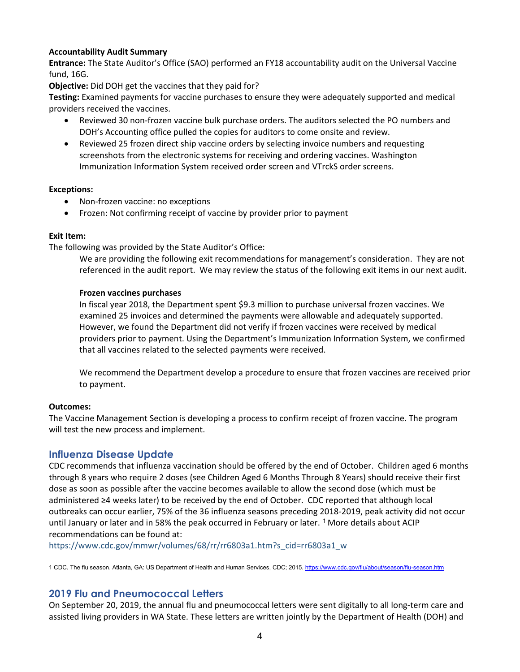### **Accountability Audit Summary**

**Entrance:** The State Auditor's Office (SAO) performed an FY18 accountability audit on the Universal Vaccine fund, 16G.

**Objective:** Did DOH get the vaccines that they paid for?

**Testing:** Examined payments for vaccine purchases to ensure they were adequately supported and medical providers received the vaccines.

- Reviewed 30 non-frozen vaccine bulk purchase orders. The auditors selected the PO numbers and DOH's Accounting office pulled the copies for auditors to come onsite and review.
- Reviewed 25 frozen direct ship vaccine orders by selecting invoice numbers and requesting screenshots from the electronic systems for receiving and ordering vaccines. Washington Immunization Information System received order screen and VTrckS order screens.

#### **Exceptions:**

- Non-frozen vaccine: no exceptions
- Frozen: Not confirming receipt of vaccine by provider prior to payment

#### **Exit Item:**

The following was provided by the State Auditor's Office:

We are providing the following exit recommendations for management's consideration. They are not referenced in the audit report. We may review the status of the following exit items in our next audit.

#### **Frozen vaccines purchases**

In fiscal year 2018, the Department spent \$9.3 million to purchase universal frozen vaccines. We examined 25 invoices and determined the payments were allowable and adequately supported. However, we found the Department did not verify if frozen vaccines were received by medical providers prior to payment. Using the Department's Immunization Information System, we confirmed that all vaccines related to the selected payments were received.

We recommend the Department develop a procedure to ensure that frozen vaccines are received prior to payment.

#### **Outcomes:**

The Vaccine Management Section is developing a process to confirm receipt of frozen vaccine. The program will test the new process and implement.

### **Influenza Disease Update**

CDC recommends that influenza vaccination should be offered by the end of October. Children aged 6 months through 8 years who require 2 doses (see Children Aged 6 Months Through 8 Years) should receive their first dose as soon as possible after the vaccine becomes available to allow the second dose (which must be administered ≥4 weeks later) to be received by the end of October. CDC reported that although local outbreaks can occur earlier, 75% of the 36 influenza seasons preceding 2018-2019, peak activity did not occur until January or later and in 58% the peak occurred in February or later. <sup>1</sup> More details about ACIP recommendations can be found at:

https://www.cdc.gov/mmwr/volumes/68/rr/rr6803a1.htm?s\_cid=rr6803a1\_w

1 CDC. The flu season. Atlanta, GA: US Department of Health and Human Services, CDC; 2015[. https://www.cdc.gov/flu/about/season/flu-season.htm](https://www.cdc.gov/flu/about/season/flu-season.htm)

### **2019 Flu and Pneumococcal Letters**

On September 20, 2019, the annual flu and pneumococcal letters were sent digitally to all long-term care and assisted living providers in WA State. These letters are written jointly by the Department of Health (DOH) and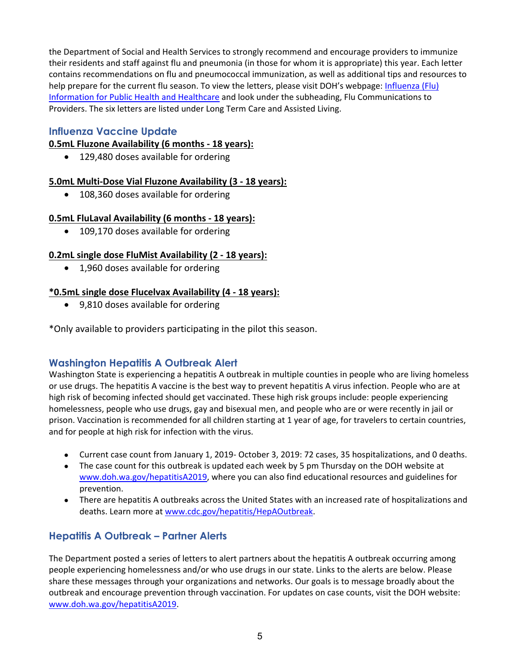the Department of Social and Health Services to strongly recommend and encourage providers to immunize their residents and staff against flu and pneumonia (in those for whom it is appropriate) this year. Each letter contains recommendations on flu and pneumococcal immunization, as well as additional tips and resources to help prepare for the current flu season. To view the letters, please visit DOH's webpage: [Influenza \(Flu\)](https://www.doh.wa.gov/ForPublicHealthandHealthcareProviders/PublicHealthSystemResourcesandServices/Immunization/InfluenzaFluInformation)  [Information for Public Health and Healthcare](https://www.doh.wa.gov/ForPublicHealthandHealthcareProviders/PublicHealthSystemResourcesandServices/Immunization/InfluenzaFluInformation) and look under the subheading, Flu Communications to Providers. The six letters are listed under Long Term Care and Assisted Living.

# **Influenza Vaccine Update**

## **0.5mL Fluzone Availability (6 months - 18 years):**

• 129,480 doses available for ordering

# **5.0mL Multi-Dose Vial Fluzone Availability (3 - 18 years):**

• 108,360 doses available for ordering

## **0.5mL FluLaval Availability (6 months - 18 years):**

• 109,170 doses available for ordering

## **0.2mL single dose FluMist Availability (2 - 18 years):**

• 1,960 doses available for ordering

## **\*0.5mL single dose Flucelvax Availability (4 - 18 years):**

• 9,810 doses available for ordering

\*Only available to providers participating in the pilot this season.

# **Washington Hepatitis A Outbreak Alert**

Washington State is experiencing a hepatitis A outbreak in multiple counties in people who are living homeless or use drugs. The hepatitis A vaccine is the best way to prevent hepatitis A virus infection. People who are at high risk of becoming infected should get vaccinated. These high risk groups include: people experiencing homelessness, people who use drugs, gay and bisexual men, and people who are or were recently in jail or prison. Vaccination is recommended for all children starting at 1 year of age, for travelers to certain countries, and for people at high risk for infection with the virus.

- Current case count from January 1, 2019- October 3, 2019: 72 cases, 35 hospitalizations, and 0 deaths.
- The case count for this outbreak is updated each week by 5 pm Thursday on the DOH website at [www.doh.wa.gov/hepatitisA2019,](http://www.doh.wa.gov/hepatitisA2019) where you can also find educational resources and guidelines for prevention.
- There are hepatitis A outbreaks across the United States with an increased rate of hospitalizations and deaths. Learn more at [www.cdc.gov/hepatitis/HepAOutbreak.](http://www.cdc.gov/hepatitis/HepAOutbreak)

# **Hepatitis A Outbreak – Partner Alerts**

The Department posted a series of letters to alert partners about the hepatitis A outbreak occurring among people experiencing homelessness and/or who use drugs in our state. Links to the alerts are below. Please share these messages through your organizations and networks. Our goals is to message broadly about the outbreak and encourage prevention through vaccination. For updates on case counts, visit the DOH website: [www.doh.wa.gov/hepatitisA2019.](http://www.doh.wa.gov/hepatitisA2019)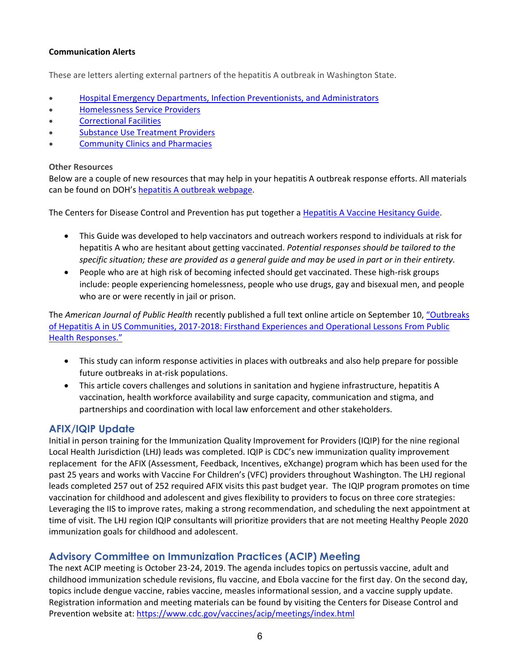### **Communication Alerts**

These are letters alerting external partners of the hepatitis A outbreak in Washington State.

- [Hospital Emergency Departments, Infection Preventionists, and Administrators](https://www.doh.wa.gov/Portals/1/Documents/1600/HepALettertoHospitals.pdf)
- [Homelessness Service Providers](https://www.doh.wa.gov/Portals/1/Documents/1600/HepALettertoHomelessnessServiceProviders.pdf)
- [Correctional Facilities](https://www.doh.wa.gov/Portals/1/Documents/1600/HepALettertoCorrectionalFacilities.pdf)
- [Substance Use Treatment Providers](https://www.doh.wa.gov/Portals/1/Documents/1600/HepALetterSubstanceUseTreatmentProviders.pdf)
- **[Community Clinics and Pharmacies](https://www.doh.wa.gov/Portals/1/Documents/1600/HepALetterforCommunityClinicsPharmacies.pdf)**

#### **Other Resources**

Below are a couple of new resources that may help in your hepatitis A outbreak response efforts. All materials can be found on DOH's [hepatitis A outbreak webpage.](https://www.doh.wa.gov/YouandYourFamily/Immunization/DiseasesandVaccines/HepatitisADisease/HepatitisA2019)

The Centers for Disease Control and Prevention has put together a [Hepatitis A Vaccine Hesitancy Guide.](https://www.doh.wa.gov/Portals/1/Documents/5100/HAV_VaccineHesitancyGuide.pdf)

- This Guide was developed to help vaccinators and outreach workers respond to individuals at risk for hepatitis A who are hesitant about getting vaccinated. *Potential responses should be tailored to the specific situation; these are provided as a general guide and may be used in part or in their entirety.*
- People who are at high risk of becoming infected should get vaccinated. These high-risk groups include: people experiencing homelessness, people who use drugs, gay and bisexual men, and people who are or were recently in jail or prison.

The *American Journal of Public Health* recently published a full text online article on September 10, ["Outbreaks](https://ajph.aphapublications.org/doi/full/10.2105/AJPH.2019.305139)  [of Hepatitis A in US Communities, 2017-2018: Firsthand Experiences and Operational Lessons From Public](https://ajph.aphapublications.org/doi/full/10.2105/AJPH.2019.305139)  [Health Responses."](https://ajph.aphapublications.org/doi/full/10.2105/AJPH.2019.305139)

- This study can inform response activities in places with outbreaks and also help prepare for possible future outbreaks in at-risk populations.
- This article covers challenges and solutions in sanitation and hygiene infrastructure, hepatitis A vaccination, health workforce availability and surge capacity, communication and stigma, and partnerships and coordination with local law enforcement and other stakeholders.

### **AFIX/IQIP Update**

Initial in person training for the Immunization Quality Improvement for Providers (IQIP) for the nine regional Local Health Jurisdiction (LHJ) leads was completed. IQIP is CDC's new immunization quality improvement replacement for the AFIX (Assessment, Feedback, Incentives, eXchange) program which has been used for the past 25 years and works with Vaccine For Children's (VFC) providers throughout Washington. The LHJ regional leads completed 257 out of 252 required AFIX visits this past budget year. The IQIP program promotes on time vaccination for childhood and adolescent and gives flexibility to providers to focus on three core strategies: Leveraging the IIS to improve rates, making a strong recommendation, and scheduling the next appointment at time of visit. The LHJ region IQIP consultants will prioritize providers that are not meeting Healthy People 2020 immunization goals for childhood and adolescent.

# **Advisory Committee on Immunization Practices (ACIP) Meeting**

The next ACIP meeting is October 23-24, 2019. The agenda includes topics on pertussis vaccine, adult and childhood immunization schedule revisions, flu vaccine, and Ebola vaccine for the first day. On the second day, topics include dengue vaccine, rabies vaccine, measles informational session, and a vaccine supply update. Registration information and meeting materials can be found by visiting the Centers for Disease Control and Prevention website at:<https://www.cdc.gov/vaccines/acip/meetings/index.html>